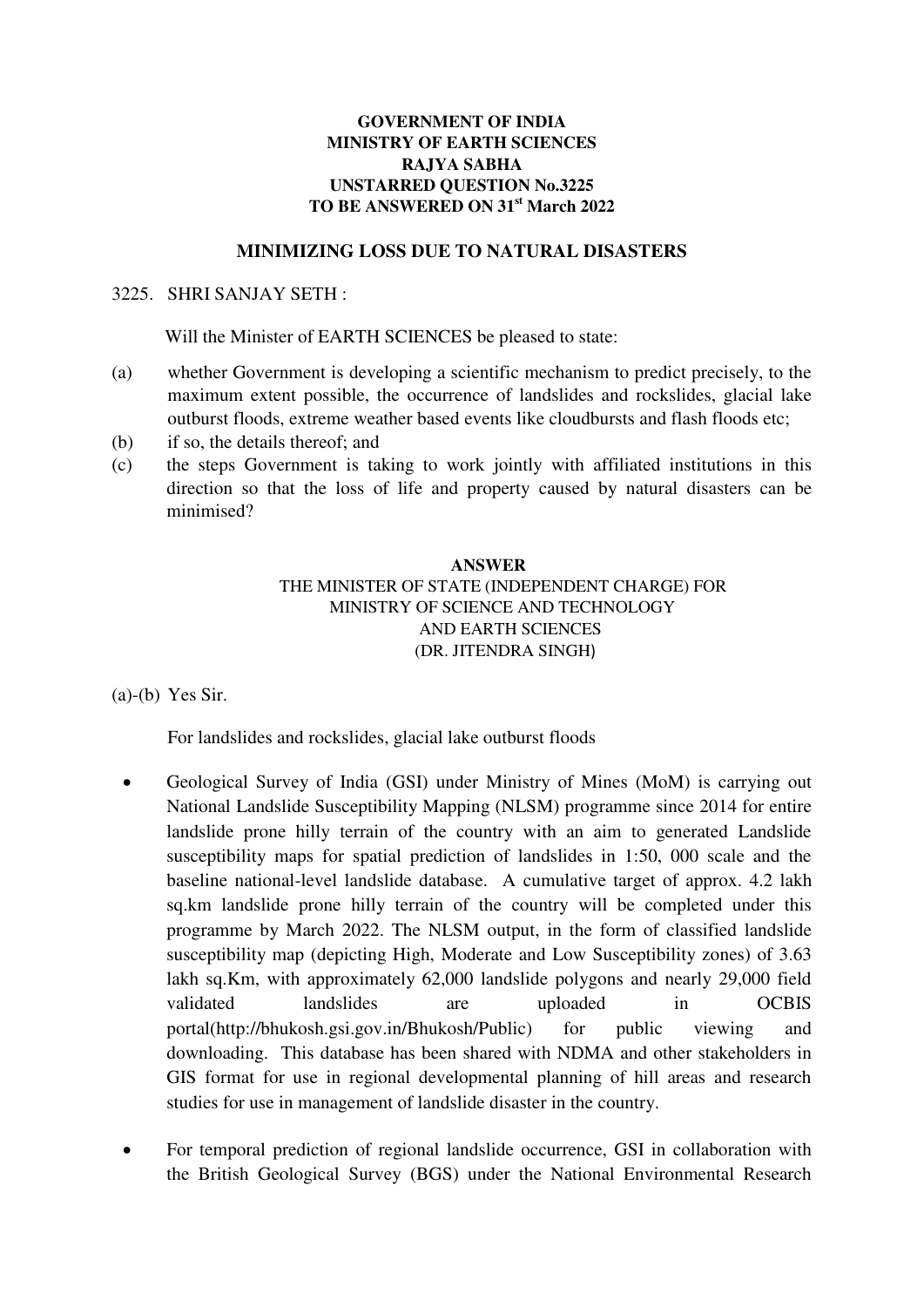## **GOVERNMENT OF INDIA MINISTRY OF EARTH SCIENCES RAJYA SABHA UNSTARRED QUESTION No.3225 TO BE ANSWERED ON 31st March 2022**

# **MINIMIZING LOSS DUE TO NATURAL DISASTERS**

#### 3225. SHRI SANJAY SETH :

Will the Minister of EARTH SCIENCES be pleased to state:

- (a) whether Government is developing a scientific mechanism to predict precisely, to the maximum extent possible, the occurrence of landslides and rockslides, glacial lake outburst floods, extreme weather based events like cloudbursts and flash floods etc;
- (b) if so, the details thereof; and
- (c) the steps Government is taking to work jointly with affiliated institutions in this direction so that the loss of life and property caused by natural disasters can be minimised?

# **ANSWER**  THE MINISTER OF STATE (INDEPENDENT CHARGE) FOR MINISTRY OF SCIENCE AND TECHNOLOGY AND EARTH SCIENCES (DR. JITENDRA SINGH)

(a)-(b) Yes Sir.

For landslides and rockslides, glacial lake outburst floods

- Geological Survey of India (GSI) under Ministry of Mines (MoM) is carrying out National Landslide Susceptibility Mapping (NLSM) programme since 2014 for entire landslide prone hilly terrain of the country with an aim to generated Landslide susceptibility maps for spatial prediction of landslides in 1:50, 000 scale and the baseline national-level landslide database. A cumulative target of approx. 4.2 lakh sq.km landslide prone hilly terrain of the country will be completed under this programme by March 2022. The NLSM output, in the form of classified landslide susceptibility map (depicting High, Moderate and Low Susceptibility zones) of 3.63 lakh sq.Km, with approximately 62,000 landslide polygons and nearly 29,000 field validated landslides are uploaded in OCBIS portal[\(http://bhukosh.gsi.gov.in/Bhukosh/Public\)](http://bhukosh.gsi.gov.in/Bhukosh/Public) for public viewing and downloading. This database has been shared with NDMA and other stakeholders in GIS format for use in regional developmental planning of hill areas and research studies for use in management of landslide disaster in the country.
- For temporal prediction of regional landslide occurrence, GSI in collaboration with the British Geological Survey (BGS) under the National Environmental Research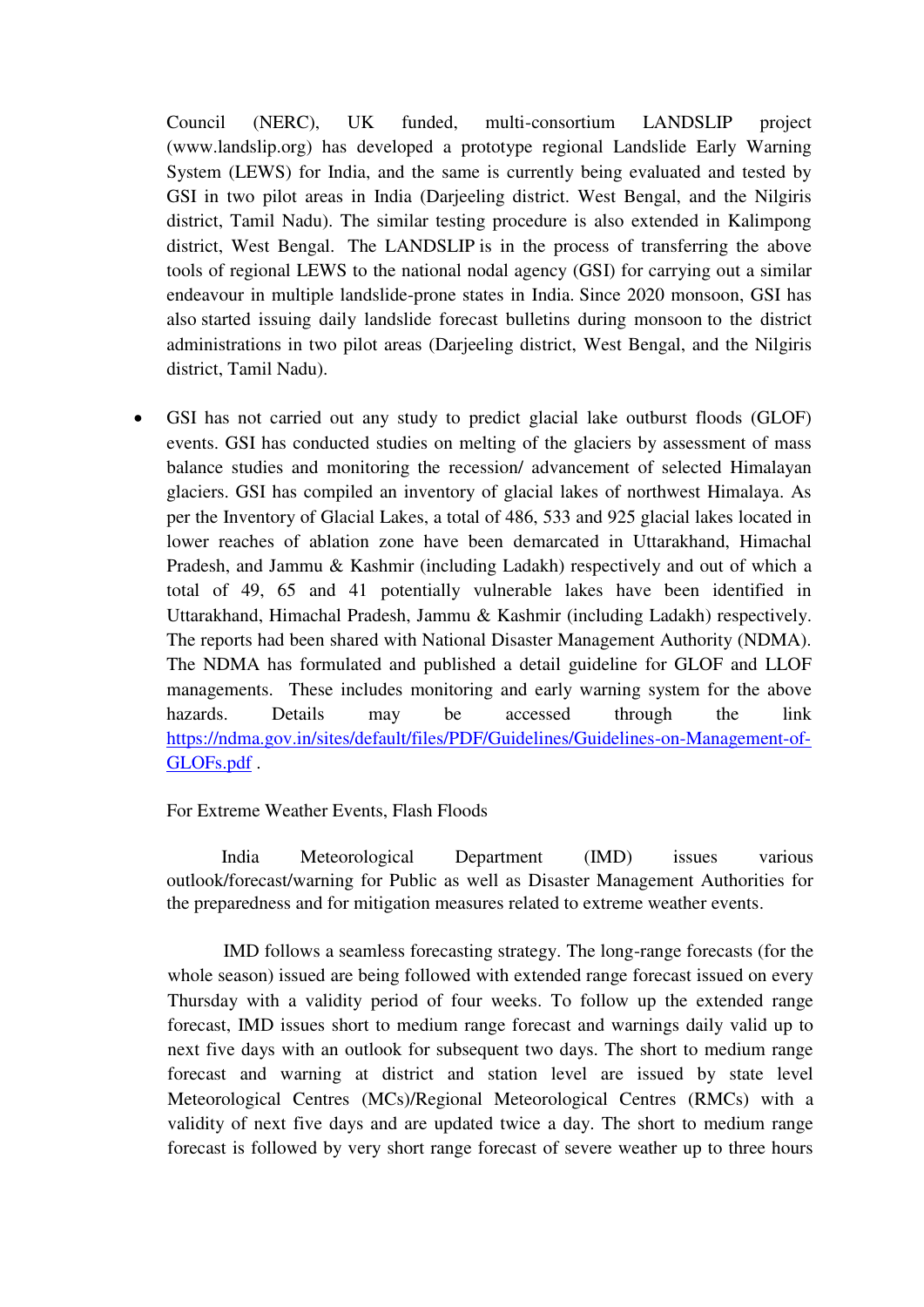Council (NERC), UK funded, multi-consortium LANDSLIP project [\(www.landslip.org\)](http://www.landslip.org/) has developed a prototype regional Landslide Early Warning System (LEWS) for India, and the same is currently being evaluated and tested by GSI in two pilot areas in India (Darjeeling district. West Bengal, and the Nilgiris district, Tamil Nadu). The similar testing procedure is also extended in Kalimpong district, West Bengal. The LANDSLIP is in the process of transferring the above tools of regional LEWS to the national nodal agency (GSI) for carrying out a similar endeavour in multiple landslide-prone states in India. Since 2020 monsoon, GSI has also started issuing daily landslide forecast bulletins during monsoon to the district administrations in two pilot areas (Darjeeling district, West Bengal, and the Nilgiris district, Tamil Nadu).

 GSI has not carried out any study to predict glacial lake outburst floods (GLOF) events. GSI has conducted studies on melting of the glaciers by assessment of mass balance studies and monitoring the recession/ advancement of selected Himalayan glaciers. GSI has compiled an inventory of glacial lakes of northwest Himalaya. As per the Inventory of Glacial Lakes, a total of 486, 533 and 925 glacial lakes located in lower reaches of ablation zone have been demarcated in Uttarakhand, Himachal Pradesh, and Jammu & Kashmir (including Ladakh) respectively and out of which a total of 49, 65 and 41 potentially vulnerable lakes have been identified in Uttarakhand, Himachal Pradesh, Jammu & Kashmir (including Ladakh) respectively. The reports had been shared with National Disaster Management Authority (NDMA). The NDMA has formulated and published a detail guideline for GLOF and LLOF managements.These includes monitoring and early warning system for the above hazards. Details may be accessed through the link [https://ndma.gov.in/sites/default/files/PDF/Guidelines/Guidelines-on-Management-of-](https://ndma.gov.in/sites/default/files/PDF/Guidelines/Guidelines-on-Management-of-GLOFs.pdf)[GLOFs.pdf](https://ndma.gov.in/sites/default/files/PDF/Guidelines/Guidelines-on-Management-of-GLOFs.pdf) .

## For Extreme Weather Events, Flash Floods

 India Meteorological Department (IMD) issues various outlook/forecast/warning for Public as well as Disaster Management Authorities for the preparedness and for mitigation measures related to extreme weather events.

IMD follows a seamless forecasting strategy. The long-range forecasts (for the whole season) issued are being followed with extended range forecast issued on every Thursday with a validity period of four weeks. To follow up the extended range forecast, IMD issues short to medium range forecast and warnings daily valid up to next five days with an outlook for subsequent two days. The short to medium range forecast and warning at district and station level are issued by state level Meteorological Centres (MCs)/Regional Meteorological Centres (RMCs) with a validity of next five days and are updated twice a day. The short to medium range forecast is followed by very short range forecast of severe weather up to three hours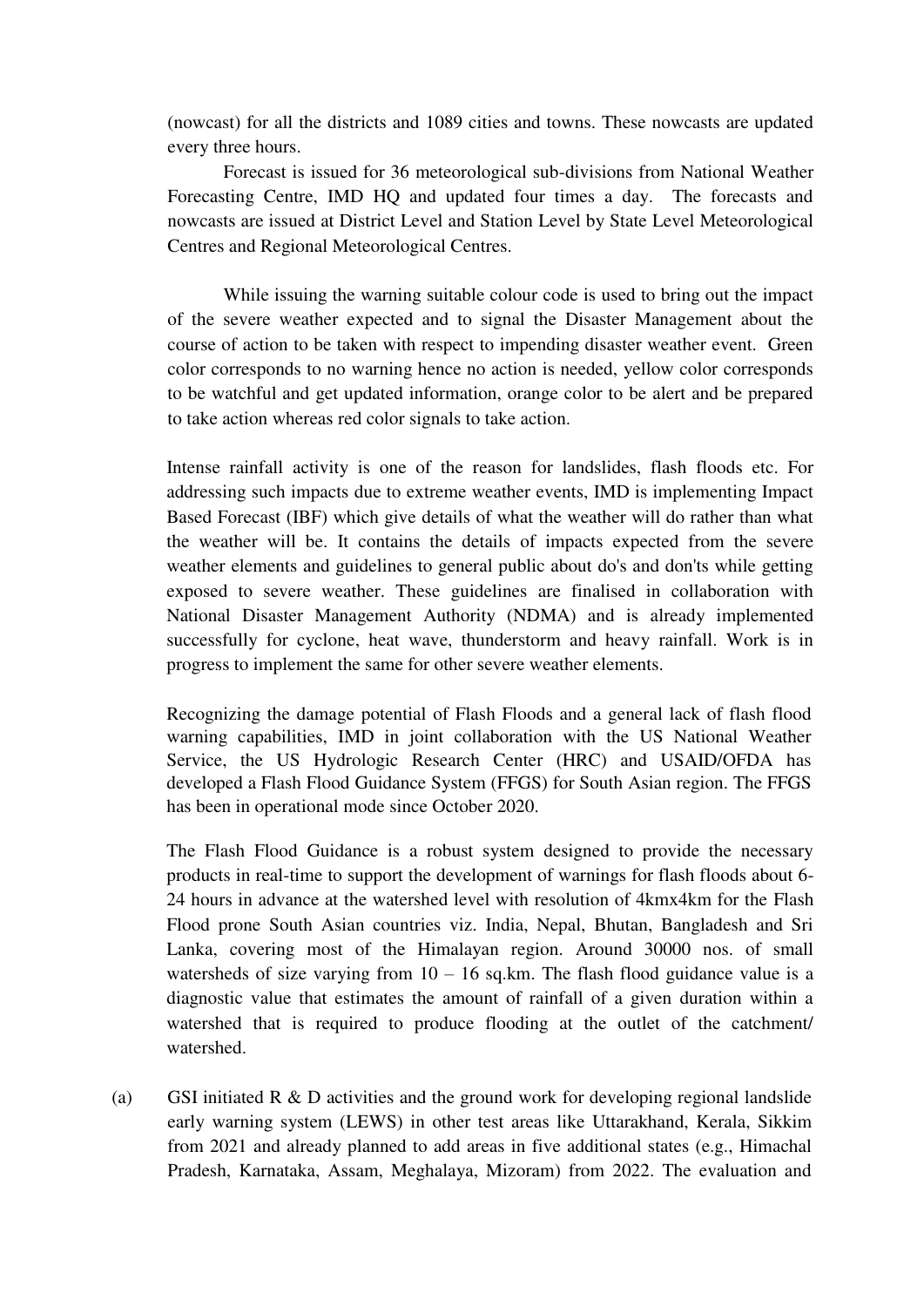(nowcast) for all the districts and 1089 cities and towns. These nowcasts are updated every three hours.

Forecast is issued for 36 meteorological sub-divisions from National Weather Forecasting Centre, IMD HQ and updated four times a day. The forecasts and nowcasts are issued at District Level and Station Level by State Level Meteorological Centres and Regional Meteorological Centres.

While issuing the warning suitable colour code is used to bring out the impact of the severe weather expected and to signal the Disaster Management about the course of action to be taken with respect to impending disaster weather event. Green color corresponds to no warning hence no action is needed, yellow color corresponds to be watchful and get updated information, orange color to be alert and be prepared to take action whereas red color signals to take action.

Intense rainfall activity is one of the reason for landslides, flash floods etc. For addressing such impacts due to extreme weather events, IMD is implementing Impact Based Forecast (IBF) which give details of what the weather will do rather than what the weather will be. It contains the details of impacts expected from the severe weather elements and guidelines to general public about do's and don'ts while getting exposed to severe weather. These guidelines are finalised in collaboration with National Disaster Management Authority (NDMA) and is already implemented successfully for cyclone, heat wave, thunderstorm and heavy rainfall. Work is in progress to implement the same for other severe weather elements.

Recognizing the damage potential of Flash Floods and a general lack of flash flood warning capabilities, IMD in joint collaboration with the US National Weather Service, the US Hydrologic Research Center (HRC) and USAID/OFDA has developed a Flash Flood Guidance System (FFGS) for South Asian region. The FFGS has been in operational mode since October 2020.

The Flash Flood Guidance is a robust system designed to provide the necessary products in real-time to support the development of warnings for flash floods about 6- 24 hours in advance at the watershed level with resolution of 4kmx4km for the Flash Flood prone South Asian countries viz. India, Nepal, Bhutan, Bangladesh and Sri Lanka, covering most of the Himalayan region. Around 30000 nos. of small watersheds of size varying from  $10 - 16$  sq.km. The flash flood guidance value is a diagnostic value that estimates the amount of rainfall of a given duration within a watershed that is required to produce flooding at the outlet of the catchment/ watershed.

(a) GSI initiated R & D activities and the ground work for developing regional landslide early warning system (LEWS) in other test areas like Uttarakhand, Kerala, Sikkim from 2021 and already planned to add areas in five additional states (e.g., Himachal Pradesh, Karnataka, Assam, Meghalaya, Mizoram) from 2022. The evaluation and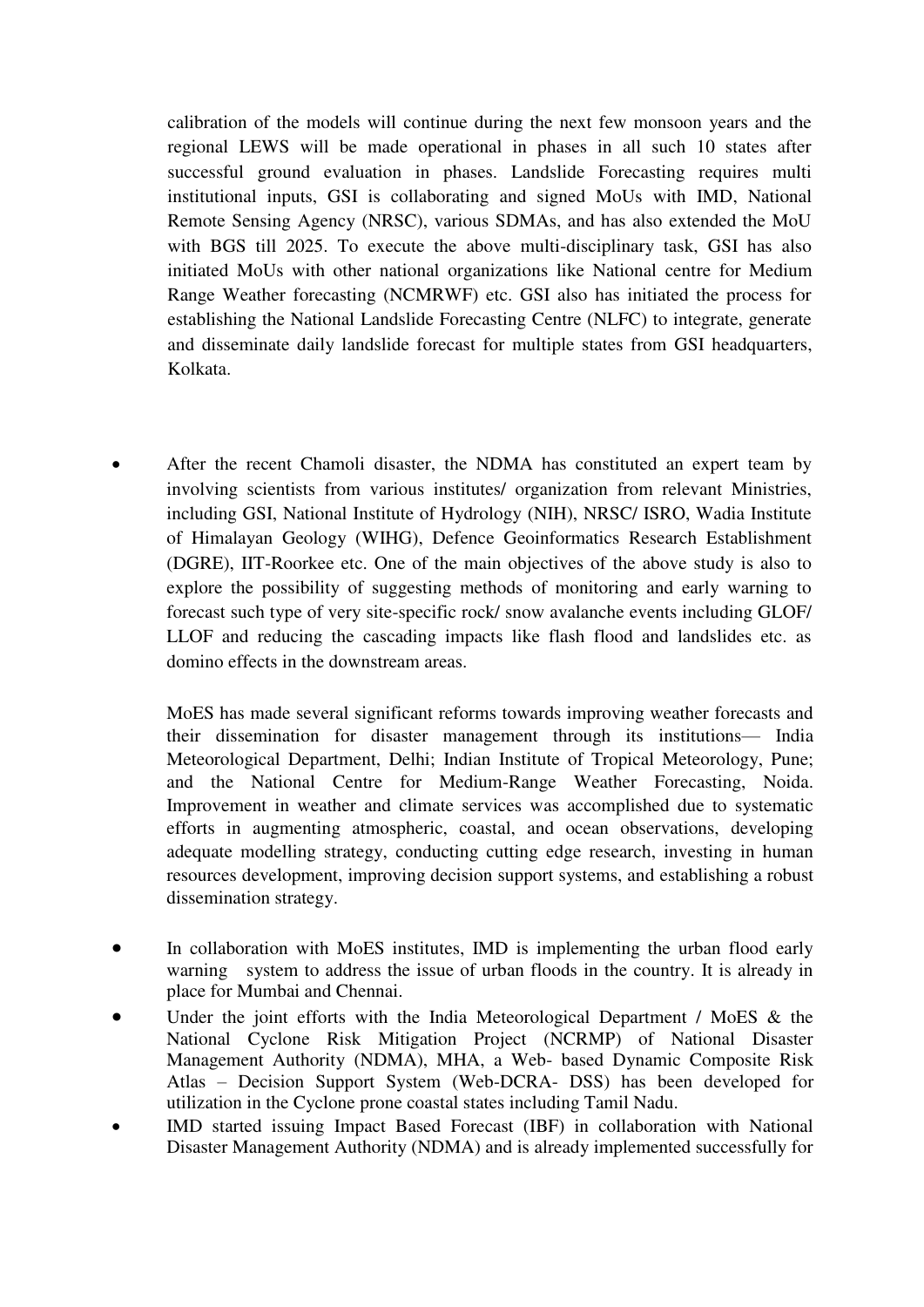calibration of the models will continue during the next few monsoon years and the regional LEWS will be made operational in phases in all such 10 states after successful ground evaluation in phases. Landslide Forecasting requires multi institutional inputs, GSI is collaborating and signed MoUs with IMD, National Remote Sensing Agency (NRSC), various SDMAs, and has also extended the MoU with BGS till 2025. To execute the above multi-disciplinary task, GSI has also initiated MoUs with other national organizations like National centre for Medium Range Weather forecasting (NCMRWF) etc. GSI also has initiated the process for establishing the National Landslide Forecasting Centre (NLFC) to integrate, generate and disseminate daily landslide forecast for multiple states from GSI headquarters, Kolkata.

 After the recent Chamoli disaster, the NDMA has constituted an expert team by involving scientists from various institutes/ organization from relevant Ministries, including GSI, National Institute of Hydrology (NIH), NRSC/ ISRO, Wadia Institute of Himalayan Geology (WIHG), Defence Geoinformatics Research Establishment (DGRE), IIT-Roorkee etc. One of the main objectives of the above study is also to explore the possibility of suggesting methods of monitoring and early warning to forecast such type of very site-specific rock/ snow avalanche events including GLOF/ LLOF and reducing the cascading impacts like flash flood and landslides etc. as domino effects in the downstream areas.

 MoES has made several significant reforms towards improving weather forecasts and their dissemination for disaster management through its institutions— India Meteorological Department, Delhi; Indian Institute of Tropical Meteorology, Pune; and the National Centre for Medium-Range Weather Forecasting, Noida. Improvement in weather and climate services was accomplished due to systematic efforts in augmenting atmospheric, coastal, and ocean observations, developing adequate modelling strategy, conducting cutting edge research, investing in human resources development, improving decision support systems, and establishing a robust dissemination strategy.

- In collaboration with MoES institutes, IMD is implementing the urban flood early warning system to address the issue of urban floods in the country. It is already in place for Mumbai and Chennai.
- Under the joint efforts with the India Meteorological Department / MoES & the National Cyclone Risk Mitigation Project (NCRMP) of National Disaster Management Authority (NDMA), MHA, a Web- based Dynamic Composite Risk Atlas – Decision Support System (Web-DCRA- DSS) has been developed for utilization in the Cyclone prone coastal states including Tamil Nadu.
- IMD started issuing Impact Based Forecast (IBF) in collaboration with National Disaster Management Authority (NDMA) and is already implemented successfully for